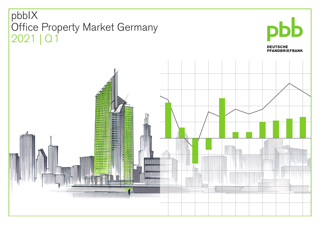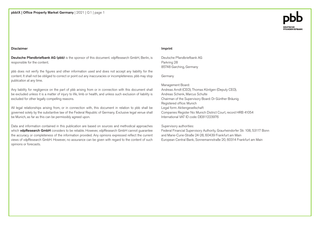#### Disclaimer

Deutsche Pfandbriefbank AG (pbb) is the sponsor of this document. vdpResearch GmbH, Berlin, is responsible for the content.

pbb does not verify the figures and other information used and does not accept any liability for the content. It shall not be obliged to correct or point out any inaccuracies or incompleteness. pbb may stop publication at any time.

Any liability for negligence on the part of pbb arising from or in connection with this document shall be excluded unless it is a matter of injury to life, limb or health, and unless such exclusion of liability is excluded for other legally compelling reasons.

All legal relationships arising from, or in connection with, this document in relation to pbb shall be governed solely by the substantive law of the Federal Republic of Germany. Exclusive legal venue shall be Munich, as far as this can be permissibly agreed upon.

Data and information contained in this publication are based on sources and methodical approaches which vdpResearch GmbH considers to be reliable. However, vdpResearch GmbH cannot guarantee the accuracy or completeness of the information provided. Any opinions expressed reflect the current views of vdpResearch GmbH. However, no assurance can be given with regard to the content of such opinions or forecasts.

#### Imprint

Deutsche Pfandbriefbank AG Parkring 28 85748 Garching, Germany

Germany

Management Board: Andreas Arndt (CEO), Thomas Köntgen (Deputy CEO), Andreas Schenk, Marcus Schulte Chairman of the Supervisory Board: Dr Günther Bräunig Registered office: Munich Legal form: Aktiengesellschaft Companies Register No: Munich District Court, record HRB 41054 International VAT ID code: DE811223976

Supervisory authorities:

Federal Financial Supervisory Authority, Graurheindorfer Str. 108, 53117 Bonn and Marie-Curie-Straße 24-28, 60439 Frankfurt am Main European Central Bank, Sonnemannstraße 20, 60314 Frankfurt am Main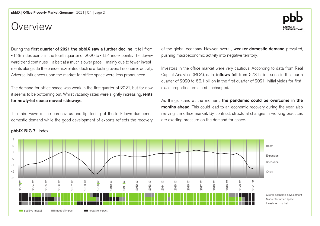# Overview

During the first quarter of 2021 the pbbIX saw a further decline: it fell from -1.38 index points in the fourth quarter of 2020 to -1.51 index points. The downward trend continues – albeit at a much slower pace – mainly due to fewer investments alongside the pandemic-related decline affecting overall economic activity. Adverse influences upon the market for office space were less pronounced.

The demand for office space was weak in the first quarter of 2021, but for now it seems to be bottoming out. Whilst vacancy rates were slightly increasing, rents for newly-let space moved sideways.

The third wave of the coronavirus and tightening of the lockdown dampened domestic demand while the good development of exports reflects the recovery of the global economy. Howver, overall, weaker domestic demand prevailed, pushing macroeconomic activity into negative territory.

Investors in the office market were very cautious. According to data from Real Capital Analytics (RCA), data, **inflows fell** from  $\epsilon$ 7.3 billion seen in the fourth quarter of 2020 to  $\epsilon$  2.1 billion in the first quarter of 2021. Initial yields for firstclass properties remained unchanged.

As things stand at the moment, the pandemic could be overcome in the months ahead. This could lead to an economic recovery during the year, also reviving the office market. By contrast, structural changes in working practices are exerting pressure on the demand for space.



### pbbIX BIG 7 | Index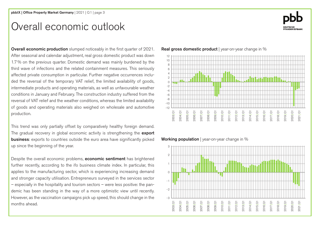# Overall economic outlook

Overall economic production slumped noticeably in the first quarter of 2021. After seasonal and calendar adjustment, real gross domestic product was down 1.7% on the previous quarter. Domestic demand was mainly burdened by the third wave of infections and the related containment measures. This seriously affected private consumption in particular. Further negative occurrences included the reversal of the temporary VAT relief, the limited availability of goods, intermediate products and operating materials, as well as unfavourable weather conditions in January and February. The construction industry suffered from the reversal of VAT relief and the weather conditions, whereas the limited availability of goods and operating materials also weighed on wholesale and automotive production.

This trend was only partially offset by comparatively healthy foreign demand. The gradual recovery in global economic activity is strengthening the export **business:** exports to countries outside the euro area have significantly picked up since the beginning of the year.

Despite the overall economic problems, **economic sentiment** has brightened further recently, according to the ifo business climate index. In particular, this applies to the manufacturing sector, which is experiencing increasing demand and stronger capacity utilisation. Entrepreneurs surveyed in the services sector – especially in the hospitality and tourism sectors – were less positive: the pandemic has been standing in the way of a more optimistic view until recently. However, as the vaccination campaigns pick up speed, this should change in the months ahead.

Real gross domestic product | year-on-year change in %



Working population | year-on-year change in %



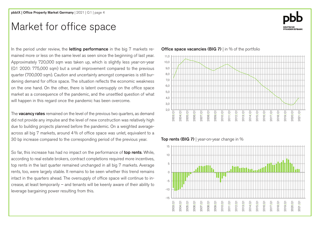# Market for office space

In the period under review, the **letting performance** in the big 7 markets remained more or less on the same level as seen since the beginning of last year. Approximately 720,000 sqm was taken up, which is slightly less year-on-year (Q1 2020: 775,000 sqm) but a small improvement compared to the previous quarter (700,000 sqm). Caution and uncertainty amongst companies is still burdening demand for office space. The situation reflects the economic weakness on the one hand. On the other, there is latent oversupply on the office space market as a consequence of the pandemic, and the unsettled question of what will happen in this regard once the pandemic has been overcome.

The **vacancy rates** remained on the level of the previous two quarters, as demand did not provide any impulse and the level of new construction was relatively high due to building projects planned before the pandemic. On a weighted averageacross all big 7 markets, around 4% of office space was unlet, equivalent to a 30 bp increase compared to the corresponding period of the previous year.

So far, this increase has had no impact on the performance of top rents. While, according to real estate brokers, contract completions required more incentives, top rents in the last quarter remained unchanged in all big 7 markets. Average rents, too, were largely stable. It remains to be seen whether this trend remains intact in the quarters ahead. The oversupply of office space will continue to increase, at least temporarily – and tenants will be keenly aware of their ability to leverage bargaining power resulting from this.

#### **Office space vacancies (BIG 7)** I in % of the portfolio



Top rents (BIG 7) | year-on-year change in  $%$ 



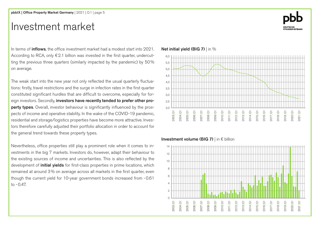# Investment market

In terms of **inflows**, the office investment market had a modest start into 2021. According to RCA, only  $E$  2.1 billion was invested in the first quarter, undercutting the previous three quarters (similarly impacted by the pandemic) by 50% on average.

The weak start into the new year not only reflected the usual quarterly fluctuations: firstly, travel restrictions and the surge in infection rates in the first quarter constituted significant hurdles that are difficult to overcome, especially for foreign investors. Secondly, investors have recently tended to prefer other property types. Overall, investor behaviour is significantly influenced by the prospects of income and operative stability. In the wake of the COVID-19 pandemic, residential and storage/logistics properties have become more attractive. Investors therefore carefully adjusted their portfolio allocation in order to account for the general trend towards these property types.

Nevertheless, office properties still play a prominent role when it comes to investments in the big 7 markets. Investors do, however, adapt their behaviour to the existing sources of income and uncertainties. This is also reflected by the development of *initial yields* for first-class properties in prime locations, which remained at around 3% on average across all markets in the first quarter, even though the current yield for 10-year government bonds increased from -0.61 to  $-0.47$ .

### Net initial yield (BIG 7) | in %



#### Investment volume (BIG 7) | in € billion



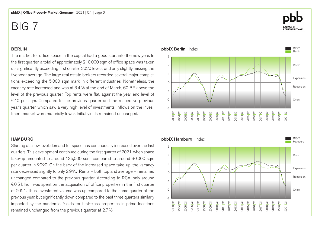### BERLIN

The market for office space in the capital had a good start into the new year. In the first quarter, a total of approximately 210,000 sqm of office space was taken up, significantly exceeding first quarter 2020 levels, and only slightly missing the five-year average. The large real estate brokers recorded several major completions exceeding the 5,000 sqm mark in different industries. Nonetheless, the vacancy rate increased and was at 3.4% at the end of March, 60 BP above the level of the previous quarter. Top rents were flat, against the year-end level of €40 per sqm. Compared to the previous quarter and the respective previous year's quarter, which saw a very high level of investments, inflows on the investment market were materially lower. Initial yields remained unchanged.

### **HAMBURG**

Starting at a low level, demand for space has continuously increased over the last quarters. This development continued during the first quarter of 2021, when space take-up amounted to around 135,000 sqm, compared to around 90,000 sqm per quarter in 2020. On the back of the increased space take-up, the vacancy rate decreased slightly to only 2.9%. Rents – both top and average – remained unchanged compared to the previous quarter. According to RCA, only around  $\epsilon$ 0.5 billion was spent on the acquisition of office properties in the first quarter of 2021. Thus, investment volume was up compared to the same quarter of the previous year, but significantly down compared to the past three quarters similarly impacted by the pandemic. Yields for first-class properties in prime locations remained unchanged from the previous quarter at 2.7%.



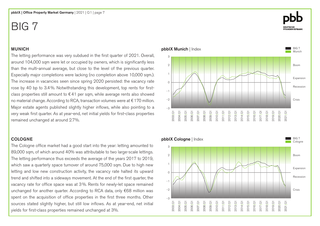### MUNICH

The letting performance was very subdued in the first quarter of 2021. Overall, around 104,000 sqm were let or occupied by owners, which is significantly less than the multi-annual average, but close to the level of the previous quarter. Especially major completions were lacking (no completion above 10,000 sqm.). The increase in vacancies seen since spring 2020 persisted: the vacancy rate rose by 40 bp to 3.4%. Notwithstanding this development, top rents for firstclass properties still amount to  $\epsilon$ 41 per sqm, while average rents also showed no material change. According to RCA, transaction volumes were at €170 million. Major estate agents published slightly higher inflows, while also pointing to a very weak first quarter. As at year-end, net initial yields for first-class properties remained unchanged at around 2.7%.

### COLOGNE

The Cologne office market had a good start into the year: letting amounted to 89,000 sqm, of which around 40% was attributable to two large-scale lettings. The letting performance thus exceeds the average of the years 2017 to 2019, which saw a quarterly space turnover of around 75,000 sqm. Due to high new letting and low new construction activity, the vacancy rate halted its upward trend and shifted into a sideways movement. At the end of the first quarter, the vacancy rate for office space was at 3%. Rents for newly-let space remained unchanged for another quarter. According to RCA data, only €68 million was spent on the acquisition of office properties in the first three months. Other sources stated slightly higher, but still low inflows. As at year-end, net initial yields for first-class properties remained unchanged at 3%.





BIG 7 **Munich** 

Boom

Recession

Expansion

Crisis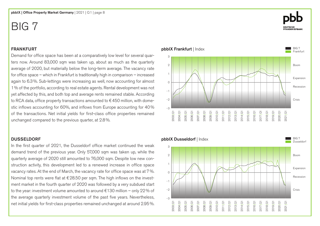### FRANKFURT

Demand for office space has been at a comparatively low level for several quarters now. Around 83,000 sqm was taken up, about as much as the quarterly average of 2020, but materially below the long-term average. The vacancy rate for office space – which in Frankfurt is traditionally high in comparison – increased again to 6.3%. Sub-lettings were increasing as well, now accounting for almost 1% of the portfolio, according to real estate agents. Rental development was not yet affected by this, and both top and average rents remained stable. According to RCA data, office property transactions amounted to  $\epsilon$  450 million, with domestic inflows accounting for 60%, and inflows from Europe accounting for 40% of the transactions. Net initial yields for first-class office properties remained unchanged compared to the previous quarter, at 2.8%.

### DUSSELDORF

In the first quarter of 2021, the Dusseldorf office market continued the weak demand trend of the previous year. Only 57,000 sqm was taken up, while the quarterly average of 2020 still amounted to 76,000 sqm. Despite low new construction activity, this development led to a renewed increase in office space vacancy rates. At the end of March, the vacancy rate for office space was at 7%. Nominal top rents were flat at  $\epsilon$  28.50 per sqm. The high inflows on the investment market in the fourth quarter of 2020 was followed by a very subdued start to the year: investment volume amounted to around €130 million – only 22% of the average quarterly investment volume of the past five years. Nevertheless, net initial yields for first-class properties remained unchanged at around 2.95%.

#### pbbIX Frankfurt | Index BIG 7 Frankfur Boom Recession Crisis Expansion -3 2 1  $\Omega$ -1 -2 3 2013|Q1 2014|Q1 2015|Q1 2016|Q1 2017|Q1 2018|Q1 2019|Q1 2012|Q1 2011|Q1 2010|Q1 2009|Q1 2008|Q1 2007|Q1 2006|Q1 2005|Q1 2004|Q1 2003|Q1 2020|Q1 2021|Q1



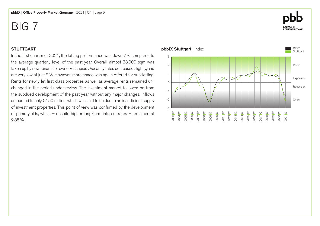### **STUTTGART**

In the first quarter of 2021, the letting performance was down 7% compared to the average quarterly level of the past year. Overall, almost 33,000 sqm was taken up by new tenants or owner-occupiers. Vacancy rates decreased slightly, and are very low at just 2%. However, more space was again offered for sub-letting. Rents for newly-let first-class properties as well as average rents remained unchanged in the period under review. The investment market followed on from the subdued development of the past year without any major changes. Inflows amounted to only €150 million, which was said to be due to an insufficient supply of investment properties. This point of view was confirmed by the development of prime yields, which – despite higher long-term interest rates – remained at 2.85%.



# **DEUTSCHE<br>PFANDBRIEFBANK**